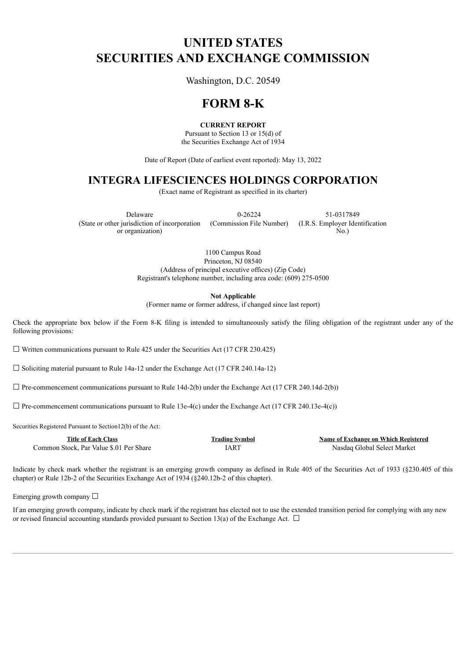# **UNITED STATES SECURITIES AND EXCHANGE COMMISSION**

Washington, D.C. 20549

## **FORM 8-K**

### **CURRENT REPORT**

Pursuant to Section 13 or 15(d) of the Securities Exchange Act of 1934

Date of Report (Date of earliest event reported): May 13, 2022

### **INTEGRA LIFESCIENCES HOLDINGS CORPORATION**

(Exact name of Registrant as specified in its charter)

Delaware 0-26224 51-0317849 (State or other jurisdiction of incorporation or organization)

(Commission File Number) (I.R.S. Employer Identification No.)

1100 Campus Road Princeton, NJ 08540 (Address of principal executive offices) (Zip Code) Registrant's telephone number, including area code: (609) 275-0500

**Not Applicable**

(Former name or former address, if changed since last report)

Check the appropriate box below if the Form 8-K filing is intended to simultaneously satisfy the filing obligation of the registrant under any of the following provisions:

 $\Box$  Written communications pursuant to Rule 425 under the Securities Act (17 CFR 230.425)

☐ Soliciting material pursuant to Rule 14a-12 under the Exchange Act (17 CFR 240.14a-12)

 $\Box$  Pre-commencement communications pursuant to Rule 14d-2(b) under the Exchange Act (17 CFR 240.14d-2(b))

 $\Box$  Pre-commencement communications pursuant to Rule 13e-4(c) under the Exchange Act (17 CFR 240.13e-4(c))

Securities Registered Pursuant to Section12(b) of the Act:

| <b>Title of Each Class</b>              | <b>Trading Symbol</b> | Name of Exchange on Which Registered |
|-----------------------------------------|-----------------------|--------------------------------------|
| Common Stock. Par Value \$.01 Per Share | [AR]                  | Nasdag Global Select Market          |

Indicate by check mark whether the registrant is an emerging growth company as defined in Rule 405 of the Securities Act of 1933 (§230.405 of this chapter) or Rule 12b-2 of the Securities Exchange Act of 1934 (§240.12b-2 of this chapter).

Emerging growth company  $\Box$ 

If an emerging growth company, indicate by check mark if the registrant has elected not to use the extended transition period for complying with any new or revised financial accounting standards provided pursuant to Section 13(a) of the Exchange Act.  $\Box$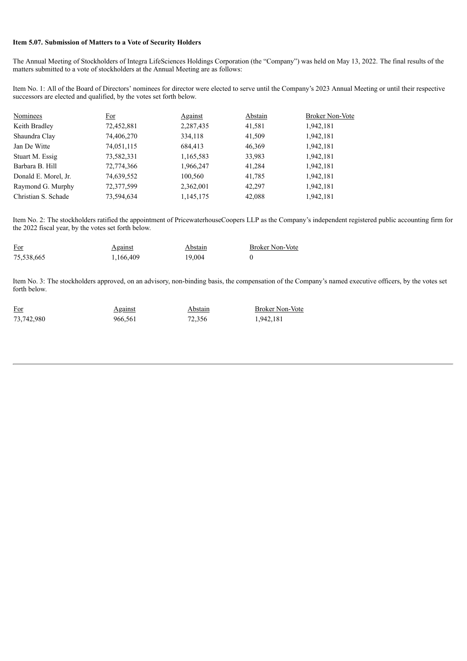#### **Item 5.07. Submission of Matters to a Vote of Security Holders**

The Annual Meeting of Stockholders of Integra LifeSciences Holdings Corporation (the "Company") was held on May 13, 2022. The final results of the matters submitted to a vote of stockholders at the Annual Meeting are as follows:

Item No. 1: All of the Board of Directors' nominees for director were elected to serve until the Company's 2023 Annual Meeting or until their respective successors are elected and qualified, by the votes set forth below.

| <b>Nominees</b>      | For        | <u>Against</u> | Abstain | <b>Broker Non-Vote</b> |
|----------------------|------------|----------------|---------|------------------------|
| Keith Bradley        | 72,452,881 | 2,287,435      | 41,581  | 1,942,181              |
| Shaundra Clay        | 74,406,270 | 334,118        | 41,509  | 1,942,181              |
| Jan De Witte         | 74,051,115 | 684,413        | 46,369  | 1,942,181              |
| Stuart M. Essig      | 73,582,331 | 1,165,583      | 33,983  | 1,942,181              |
| Barbara B. Hill      | 72,774,366 | 1,966,247      | 41.284  | 1,942,181              |
| Donald E. Morel, Jr. | 74,639,552 | 100,560        | 41,785  | 1,942,181              |
| Raymond G. Murphy    | 72,377,599 | 2,362,001      | 42,297  | 1,942,181              |
| Christian S. Schade  | 73,594,634 | 1,145,175      | 42,088  | 1,942,181              |

Item No. 2: The stockholders ratified the appointment of PricewaterhouseCoopers LLP as the Company's independent registered public accounting firm for the 2022 fiscal year, by the votes set forth below.

| <b>For</b> | <b>Against</b> | Abstain | <b>Broker Non-Vote</b> |
|------------|----------------|---------|------------------------|
| 75,538,665 | 1,166,409      | 19.004  |                        |

Item No. 3: The stockholders approved, on an advisory, non-binding basis, the compensation of the Company's named executive officers, by the votes set forth below.

| For        | <b>Against</b> | Abstain | <b>Broker Non-Vote</b> |
|------------|----------------|---------|------------------------|
| 73,742,980 | 966,561        | 72.356  | 1,942,181              |